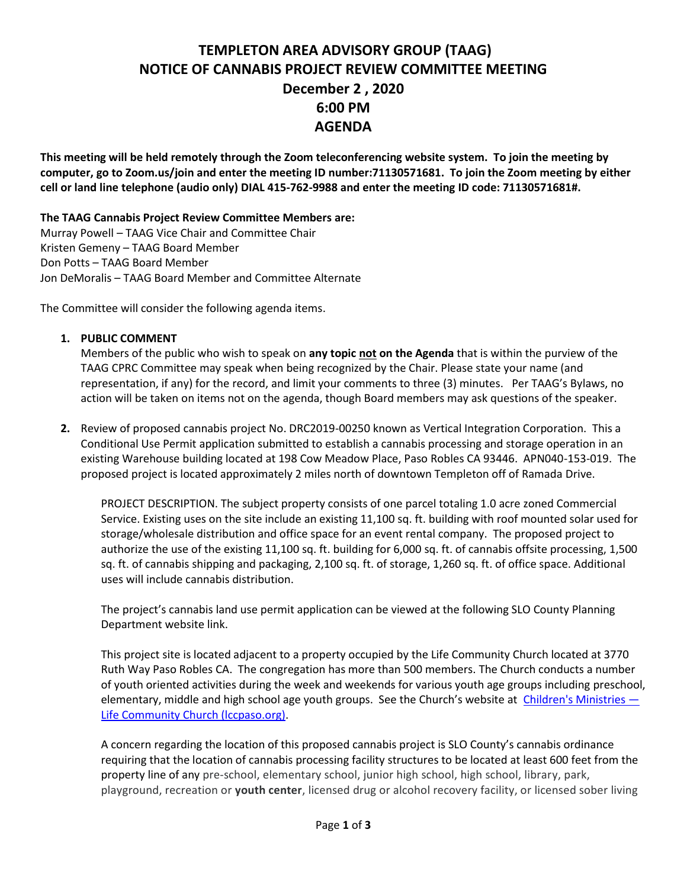## **TEMPLETON AREA ADVISORY GROUP (TAAG) NOTICE OF CANNABIS PROJECT REVIEW COMMITTEE MEETING December 2 , 2020 6:00 PM AGENDA**

**This meeting will be held remotely through the Zoom teleconferencing website system. To join the meeting by computer, go to Zoom.us/join and enter the meeting ID number:71130571681. To join the Zoom meeting by either cell or land line telephone (audio only) DIAL 415-762-9988 and enter the meeting ID code: 71130571681#.**

**The TAAG Cannabis Project Review Committee Members are:** Murray Powell – TAAG Vice Chair and Committee Chair

Kristen Gemeny – TAAG Board Member Don Potts – TAAG Board Member Jon DeMoralis – TAAG Board Member and Committee Alternate

The Committee will consider the following agenda items.

## **1. PUBLIC COMMENT**

Members of the public who wish to speak on **any topic not on the Agenda** that is within the purview of the TAAG CPRC Committee may speak when being recognized by the Chair. Please state your name (and representation, if any) for the record, and limit your comments to three (3) minutes. Per TAAG's Bylaws, no action will be taken on items not on the agenda, though Board members may ask questions of the speaker.

**2.** Review of proposed cannabis project No. DRC2019-00250 known as Vertical Integration Corporation. This a Conditional Use Permit application submitted to establish a cannabis processing and storage operation in an existing Warehouse building located at 198 Cow Meadow Place, Paso Robles CA 93446. APN040-153-019. The proposed project is located approximately 2 miles north of downtown Templeton off of Ramada Drive.

PROJECT DESCRIPTION. The subject property consists of one parcel totaling 1.0 acre zoned Commercial Service. Existing uses on the site include an existing 11,100 sq. ft. building with roof mounted solar used for storage/wholesale distribution and office space for an event rental company. The proposed project to authorize the use of the existing 11,100 sq. ft. building for 6,000 sq. ft. of cannabis offsite processing, 1,500 sq. ft. of cannabis shipping and packaging, 2,100 sq. ft. of storage, 1,260 sq. ft. of office space. Additional uses will include cannabis distribution.

The project's cannabis land use permit application can be viewed at the following SLO County Planning Department website link.

This project site is located adjacent to a property occupied by the Life Community Church located at 3770 Ruth Way Paso Robles CA. The congregation has more than 500 members. The Church conducts a number of youth oriented activities during the week and weekends for various youth age groups including preschool, elementary, middle and high school age youth groups. See the Church's website at [Children's Ministries](https://lccpaso.org/lifekids) -[Life Community Church \(lccpaso.org\).](https://lccpaso.org/lifekids)

A concern regarding the location of this proposed cannabis project is SLO County's cannabis ordinance requiring that the location of cannabis processing facility structures to be located at least 600 feet from the property line of any pre-school, elementary school, junior high school, high school, library, park, playground, recreation or **youth center**, licensed drug or alcohol recovery facility, or licensed sober living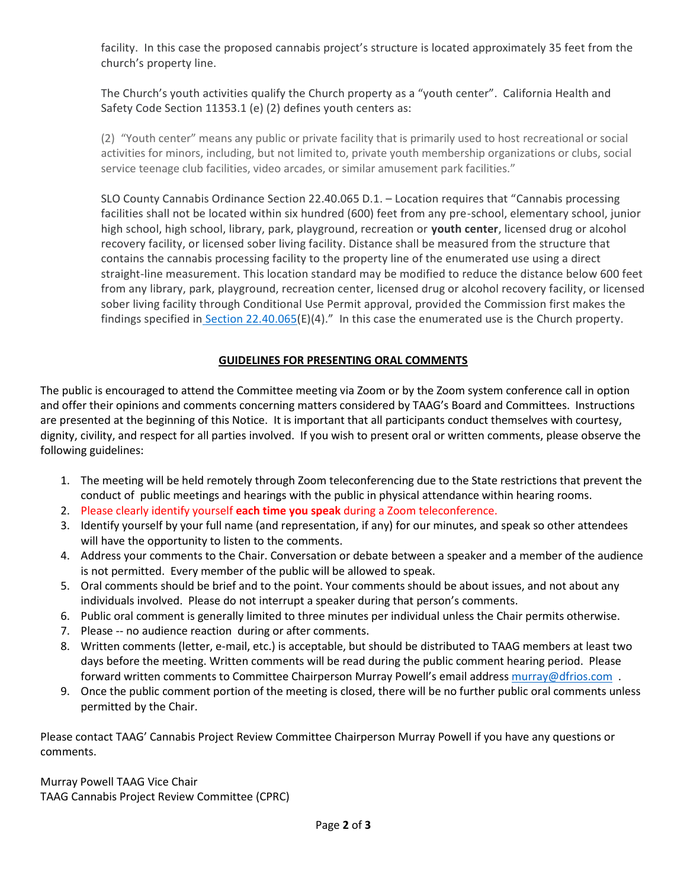facility. In this case the proposed cannabis project's structure is located approximately 35 feet from the church's property line.

The Church's youth activities qualify the Church property as a "youth center". California Health and Safety Code Section 11353.1 (e) (2) defines youth centers as:

(2) "Youth center" means any public or private facility that is primarily used to host recreational or social activities for minors, including, but not limited to, private youth membership organizations or clubs, social service teenage club facilities, video arcades, or similar amusement park facilities."

SLO County Cannabis Ordinance Section 22.40.065 D.1. – Location requires that "Cannabis processing facilities shall not be located within six hundred (600) feet from any pre-school, elementary school, junior high school, high school, library, park, playground, recreation or **youth center**, licensed drug or alcohol recovery facility, or licensed sober living facility. Distance shall be measured from the structure that contains the cannabis processing facility to the property line of the enumerated use using a direct straight-line measurement. This location standard may be modified to reduce the distance below 600 feet from any library, park, playground, recreation center, licensed drug or alcohol recovery facility, or licensed sober living facility through Conditional Use Permit approval, provided the Commission first makes the findings specified in [Section 22.40.065\(](https://library.municode.com/ca/san_luis_obispo_county/codes/county_code?nodeId=TIT22LAUSOR_ART4STSPLAUS_CH22.40CAAC_22.40.065CAPRFA)E)(4)." In this case the enumerated use is the Church property.

## **GUIDELINES FOR PRESENTING ORAL COMMENTS**

The public is encouraged to attend the Committee meeting via Zoom or by the Zoom system conference call in option and offer their opinions and comments concerning matters considered by TAAG's Board and Committees. Instructions are presented at the beginning of this Notice. It is important that all participants conduct themselves with courtesy, dignity, civility, and respect for all parties involved. If you wish to present oral or written comments, please observe the following guidelines:

- 1. The meeting will be held remotely through Zoom teleconferencing due to the State restrictions that prevent the conduct of public meetings and hearings with the public in physical attendance within hearing rooms.
- 2. Please clearly identify yourself **each time you speak** during a Zoom teleconference.
- 3. Identify yourself by your full name (and representation, if any) for our minutes, and speak so other attendees will have the opportunity to listen to the comments.
- 4. Address your comments to the Chair. Conversation or debate between a speaker and a member of the audience is not permitted. Every member of the public will be allowed to speak.
- 5. Oral comments should be brief and to the point. Your comments should be about issues, and not about any individuals involved. Please do not interrupt a speaker during that person's comments.
- 6. Public oral comment is generally limited to three minutes per individual unless the Chair permits otherwise.
- 7. Please -- no audience reaction during or after comments.
- 8. Written comments (letter, e-mail, etc.) is acceptable, but should be distributed to TAAG members at least two days before the meeting. Written comments will be read during the public comment hearing period. Please forward written comments to Committee Chairperson Murray Powell's email address murray@dfrios.com.
- 9. Once the public comment portion of the meeting is closed, there will be no further public oral comments unless permitted by the Chair.

Please contact TAAG' Cannabis Project Review Committee Chairperson Murray Powell if you have any questions or comments.

Murray Powell TAAG Vice Chair TAAG Cannabis Project Review Committee (CPRC)